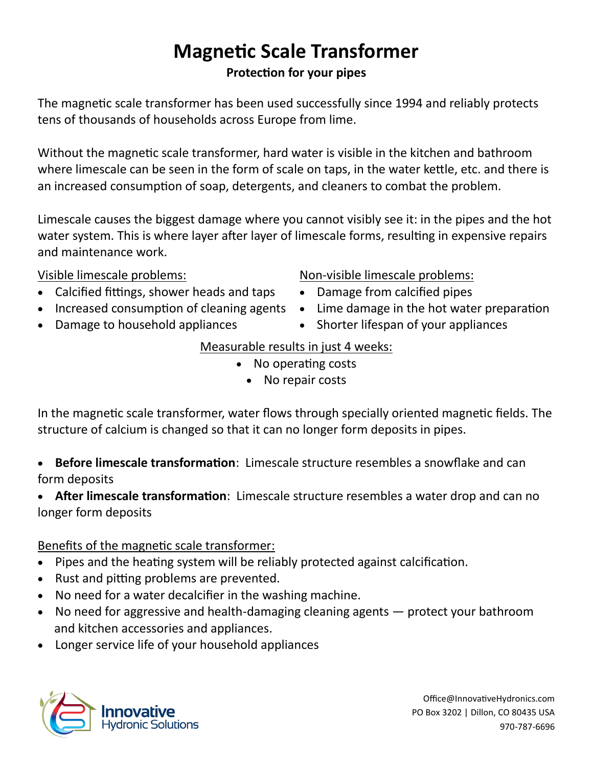## **Magnetic Scale Transformer Protection for your pipes**

The magnetic scale transformer has been used successfully since 1994 and reliably protects tens of thousands of households across Europe from lime.

Without the magnetic scale transformer, hard water is visible in the kitchen and bathroom where limescale can be seen in the form of scale on taps, in the water kettle, etc. and there is an increased consumption of soap, detergents, and cleaners to combat the problem.

Limescale causes the biggest damage where you cannot visibly see it: in the pipes and the hot water system. This is where layer after layer of limescale forms, resulting in expensive repairs and maintenance work.

Visible limescale problems:

- Calcified fittings, shower heads and taps
- Increased consumption of cleaning agents
- Damage to household appliances

### Non-visible limescale problems:

- Damage from calcified pipes
- Lime damage in the hot water preparation
- Shorter lifespan of your appliances

#### Measurable results in just 4 weeks:

- No operating costs
	- No repair costs

In the magnetic scale transformer, water flows through specially oriented magnetic fields. The structure of calcium is changed so that it can no longer form deposits in pipes.

• **Before limescale transformation**: Limescale structure resembles a snowflake and can form deposits

• **After limescale transformation**: Limescale structure resembles a water drop and can no longer form deposits

#### Benefits of the magnetic scale transformer:

- Pipes and the heating system will be reliably protected against calcification.
- Rust and pitting problems are prevented.
- No need for a water decalcifier in the washing machine.
- No need for aggressive and health-damaging cleaning agents protect your bathroom and kitchen accessories and appliances.
- Longer service life of your household appliances